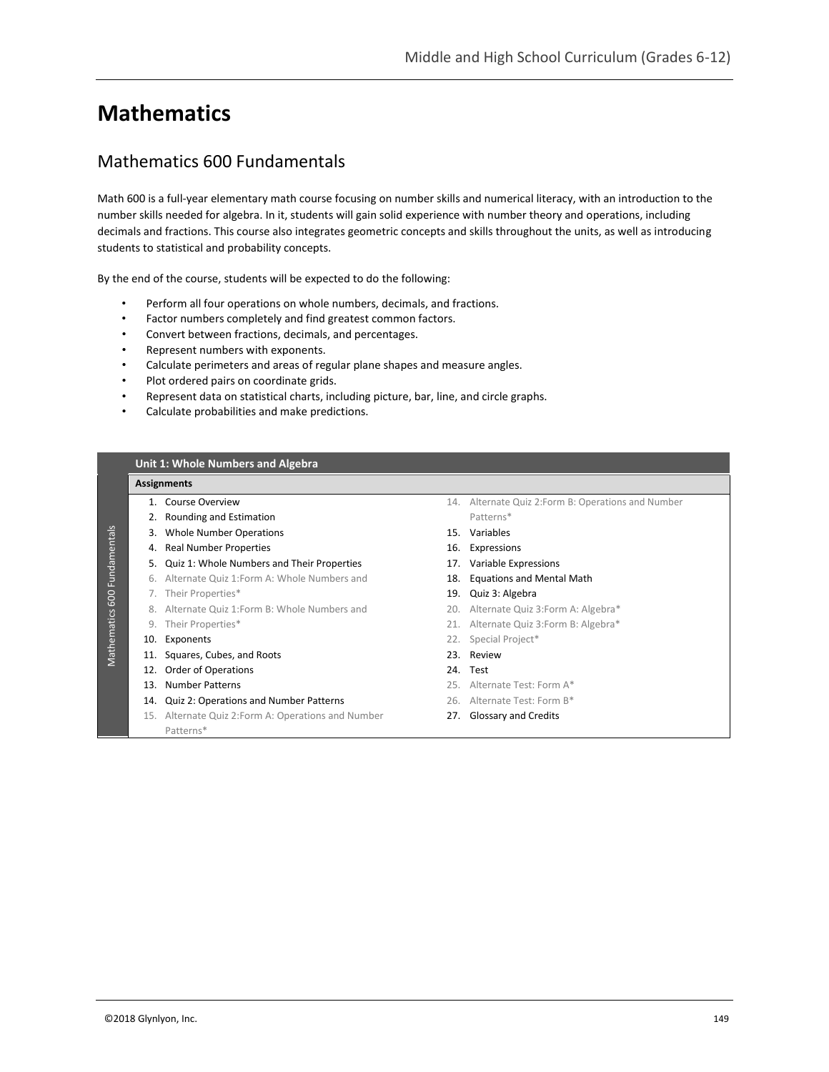# **Mathematics**

# Mathematics 600 Fundamentals

Math 600 is a full-year elementary math course focusing on number skills and numerical literacy, with an introduction to the number skills needed for algebra. In it, students will gain solid experience with number theory and operations, including decimals and fractions. This course also integrates geometric concepts and skills throughout the units, as well as introducing students to statistical and probability concepts.

By the end of the course, students will be expected to do the following:

- Perform all four operations on whole numbers, decimals, and fractions.
- Factor numbers completely and find greatest common factors.
- Convert between fractions, decimals, and percentages.
- Represent numbers with exponents.
- Calculate perimeters and areas of regular plane shapes and measure angles.
- Plot ordered pairs on coordinate grids.
- Represent data on statistical charts, including picture, bar, line, and circle graphs.
- Calculate probabilities and make predictions.

|     | <b>Assignments</b>                                  |     |                                                     |  |  |  |
|-----|-----------------------------------------------------|-----|-----------------------------------------------------|--|--|--|
|     | 1. Course Overview                                  |     | 14. Alternate Quiz 2: Form B: Operations and Number |  |  |  |
|     | Rounding and Estimation                             |     | Patterns*                                           |  |  |  |
| 3.  | <b>Whole Number Operations</b>                      |     | 15. Variables                                       |  |  |  |
| 4.  | <b>Real Number Properties</b>                       |     | 16. Expressions                                     |  |  |  |
|     | 5. Quiz 1: Whole Numbers and Their Properties       |     | 17. Variable Expressions                            |  |  |  |
| 6.  | Alternate Quiz 1: Form A: Whole Numbers and         | 18. | <b>Equations and Mental Math</b>                    |  |  |  |
| 7.  | Their Properties*                                   |     | 19. Quiz 3: Algebra                                 |  |  |  |
|     | 8. Alternate Quiz 1: Form B: Whole Numbers and      |     | 20. Alternate Quiz 3:Form A: Algebra*               |  |  |  |
| 9.  | Their Properties*                                   |     | 21. Alternate Quiz 3: Form B: Algebra*              |  |  |  |
|     | 10. Exponents                                       |     | 22. Special Project*                                |  |  |  |
| 11. | Squares, Cubes, and Roots                           |     | 23. Review                                          |  |  |  |
| 12. | Order of Operations                                 |     | 24. Test                                            |  |  |  |
| 13. | <b>Number Patterns</b>                              |     | 25. Alternate Test: Form A*                         |  |  |  |
| 14. | Quiz 2: Operations and Number Patterns              |     | 26. Alternate Test: Form B*                         |  |  |  |
|     | 15. Alternate Quiz 2: Form A: Operations and Number |     | 27. Glossary and Credits                            |  |  |  |
|     | Patterns*                                           |     |                                                     |  |  |  |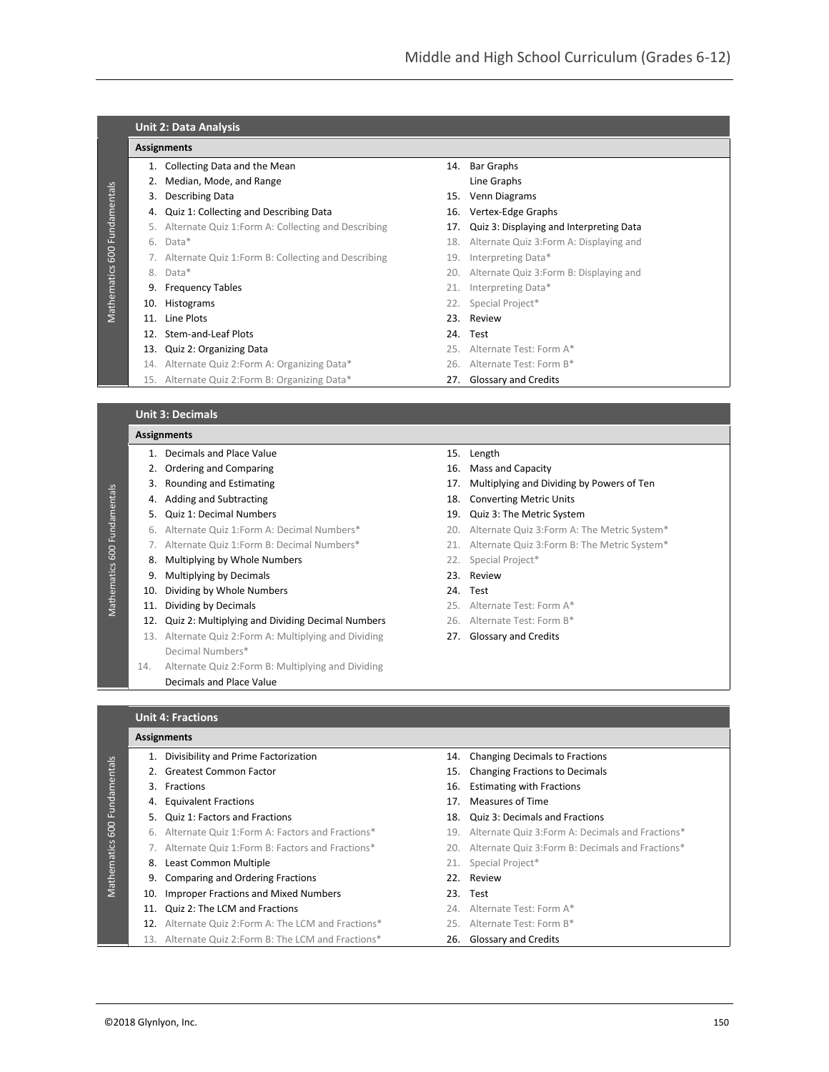|     | <b>Assignments</b>                                     |     |                                                                    |  |  |  |
|-----|--------------------------------------------------------|-----|--------------------------------------------------------------------|--|--|--|
|     | 1. Collecting Data and the Mean                        | 14. | <b>Bar Graphs</b>                                                  |  |  |  |
|     | Median, Mode, and Range                                |     | Line Graphs                                                        |  |  |  |
| 3.  | Describing Data                                        |     | 15. Venn Diagrams                                                  |  |  |  |
| 4.  | Quiz 1: Collecting and Describing Data                 |     | 16. Vertex-Edge Graphs<br>Quiz 3: Displaying and Interpreting Data |  |  |  |
| 5.  | Alternate Quiz 1: Form A: Collecting and Describing    | 17. |                                                                    |  |  |  |
| 6.  | Data*                                                  | 18. | Alternate Quiz 3: Form A: Displaying and                           |  |  |  |
|     | 7. Alternate Quiz 1: Form B: Collecting and Describing | 19. | Interpreting Data*                                                 |  |  |  |
| 8.  | Data*                                                  |     | 20. Alternate Quiz 3: Form B: Displaying and                       |  |  |  |
| 9.  | <b>Frequency Tables</b>                                |     | 21. Interpreting Data*                                             |  |  |  |
|     | 10. Histograms                                         | 22. | Special Project*                                                   |  |  |  |
| 11. | Line Plots                                             |     | 23. Review                                                         |  |  |  |
| 12. | Stem-and-Leaf Plots                                    |     | 24. Test                                                           |  |  |  |
| 13. | Quiz 2: Organizing Data                                |     | 25. Alternate Test: Form A*                                        |  |  |  |
| 14. | Alternate Quiz 2: Form A: Organizing Data*             |     | 26. Alternate Test: Form B*                                        |  |  |  |
|     | 15. Alternate Quiz 2: Form B: Organizing Data*         |     | 27. Glossary and Credits                                           |  |  |  |

# **Assignments**

Mathematics 600 Fundamentals

Mathematics 600 Fundamentals

- 1. Decimals and Place Value 15. Length 2. Ordering and Comparing 2. Ordering and Capacity 3. Rounding and Estimating 17. Multiplying and Dividing by Powers of Ten 4. Adding and Subtracting 18. Converting Metric Units 5. Quiz 1: Decimal Numbers 19. Quiz 3: The Metric System 6. Alternate Quiz 1:Form A: Decimal Numbers\* 20. Alternate Quiz 3:Form A: The Metric System\* 7. Alternate Quiz 1:Form B: Decimal Numbers\* 21. Alternate Quiz 3:Form B: The Metric System\* 8. Multiplying by Whole Numbers **22.** Special Project\* 9. Multiplying by Decimals 23. Review 10. Dividing by Whole Numbers 24. Test 11. Dividing by Decimals **25.** Alternate Test: Form A\* 12. Quiz 2: Multiplying and Dividing Decimal Numbers 26. Alternate Test: Form B\*
	- 13. Alternate Quiz 2: Form A: Multiplying and Dividing 27. Glossary and Credits Decimal Numbers\*
	- 14. Alternate Quiz 2:Form B: Multiplying and Dividing
		- Decimals and Place Value
- 
- 
- 
- 
- 
- 
- 
- 
- 
- 
- 
- 
- 

**Unit 4: Fractions**

## **Assignments**

| $\overline{S}$<br>Fundamenta<br>600<br>Mathematics | 1. Divisibility and Prime Factorization              |     | 14. Changing Decimals to Fractions                    |  |
|----------------------------------------------------|------------------------------------------------------|-----|-------------------------------------------------------|--|
|                                                    | 2. Greatest Common Factor                            |     | 15. Changing Fractions to Decimals                    |  |
|                                                    | 3. Fractions                                         | 16. | <b>Estimating with Fractions</b>                      |  |
|                                                    | 4. Equivalent Fractions                              | 17. | Measures of Time                                      |  |
|                                                    | 5. Quiz 1: Factors and Fractions                     |     | 18. Quiz 3: Decimals and Fractions                    |  |
|                                                    | 6. Alternate Quiz 1: Form A: Factors and Fractions*  |     | 19. Alternate Quiz 3: Form A: Decimals and Fractions* |  |
|                                                    | 7. Alternate Quiz 1: Form B: Factors and Fractions*  |     | 20. Alternate Quiz 3: Form B: Decimals and Fractions* |  |
|                                                    | 8. Least Common Multiple                             |     | 21. Special Project*                                  |  |
|                                                    | 9. Comparing and Ordering Fractions                  |     | 22. Review                                            |  |
|                                                    | 10. Improper Fractions and Mixed Numbers             |     | 23. Test                                              |  |
|                                                    | 11. Quiz 2: The LCM and Fractions                    |     | 24. Alternate Test: Form A*                           |  |
|                                                    | 12. Alternate Quiz 2: Form A: The LCM and Fractions* |     | 25. Alternate Test: Form B*                           |  |
|                                                    | 13. Alternate Quiz 2: Form B: The LCM and Fractions* |     | 26. Glossary and Credits                              |  |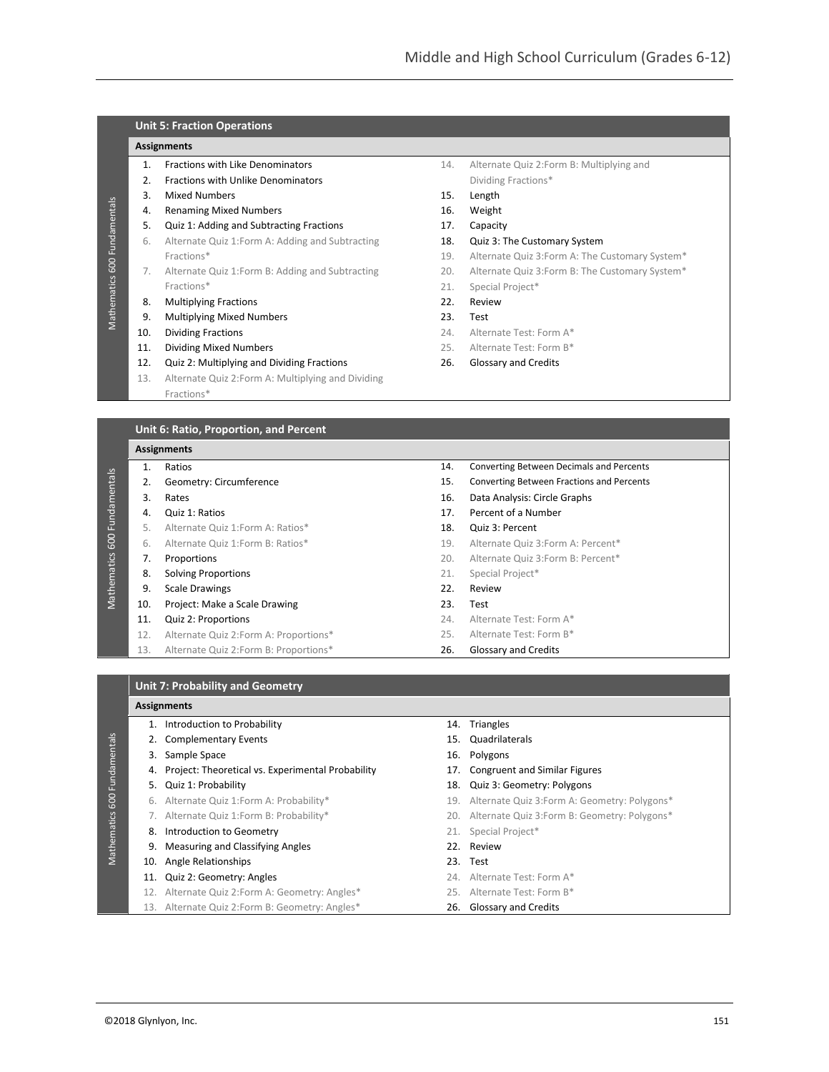# **Unit 5: Fraction Operations**

#### **Assignments**

Mathematics 600 Fundamentals

Mathematics 600 Fundamentals

- 1. Fractions with Like Denominators
- 2. Fractions with Unlike Denominators
- 3. Mixed Numbers
- 4. Renaming Mixed Numbers
- 5. Quiz 1: Adding and Subtracting Fractions
- 6. Alternate Quiz 1:Form A: Adding and Subtracting Fractions\*
- 7. Alternate Quiz 1:Form B: Adding and Subtracting Fractions\*
- 8. Multiplying Fractions
- 9. Multiplying Mixed Numbers
- 10. Dividing Fractions
- 11. Dividing Mixed Numbers
- 12. Quiz 2: Multiplying and Dividing Fractions
- 13. Alternate Quiz 2:Form A: Multiplying and Dividing Fractions\*
- 14. Alternate Quiz 2:Form B: Multiplying and Dividing Fractions\*
- 15. Length
- 16. Weight
- 17. Capacity
- 18. Quiz 3: The Customary System
- 19. Alternate Quiz 3:Form A: The Customary System\*
- 20. Alternate Quiz 3:Form B: The Customary System\*
- 21. Special Project\*
- 22. Review
- 23. Test
- 24. Alternate Test: Form A\*
- 25. Alternate Test: Form B\*
- 26. Glossary and Credits

**Unit 6: Ratio, Proportion, and Percent**

#### **Assignments**

|                     |     | <b>AJJIEIIIILIILJ</b>                  |     |                                                 |
|---------------------|-----|----------------------------------------|-----|-------------------------------------------------|
| Fundamentals<br>600 | 1.  | Ratios                                 | 14. | <b>Converting Between Decimals and Percents</b> |
|                     | 2.  | Geometry: Circumference                | 15. | Converting Between Fractions and Percents       |
|                     | 3.  | Rates                                  | 16. | Data Analysis: Circle Graphs                    |
|                     | 4.  | Quiz 1: Ratios                         | 17. | Percent of a Number                             |
|                     | 5.  | Alternate Quiz 1: Form A: Ratios*      | 18. | Quiz 3: Percent                                 |
|                     | 6.  | Alternate Quiz 1: Form B: Ratios*      | 19. | Alternate Quiz 3: Form A: Percent*              |
|                     | 7.  | Proportions                            | 20. | Alternate Quiz 3: Form B: Percent*              |
| Mathematics         | 8.  | <b>Solving Proportions</b>             | 21. | Special Project*                                |
|                     | 9.  | <b>Scale Drawings</b>                  | 22. | Review                                          |
|                     | 10. | Project: Make a Scale Drawing          | 23. | Test                                            |
|                     | 11. | Quiz 2: Proportions                    | 24. | Alternate Test: Form A*                         |
|                     | 12. | Alternate Quiz 2: Form A: Proportions* | 25. | Alternate Test: Form B*                         |
|                     | 13. | Alternate Quiz 2: Form B: Proportions* | 26. | Glossary and Credits                            |

#### **Unit 7: Probability and Geometry**

#### **Assignments**

Mathematics 600 Fundamentals

- Mathematics 600 Fundamentals 1. Introduction to Probability 14. Triangles 2. Complementary Events 15. Quadrilaterals 3. Sample Space 16. Polygons 4. Project: Theoretical vs. Experimental Probability 17. Congruent and Similar Figures 5. Quiz 1: Probability 18. Quiz 3: Geometry: Polygons 6. Alternate Quiz 1:Form A: Probability\* 19. Alternate Quiz 3:Form A: Geometry: Polygons\* 7. Alternate Quiz 1:Form B: Probability\* 20. Alternate Quiz 3:Form B: Geometry: Polygons\* 8. Introduction to Geometry **21.** Special Project\* 9. Measuring and Classifying Angles 22. Review 10. Angle Relationships 23. Test 11. Quiz 2: Geometry: Angles 24. Alternate Test: Form A\* 12. Alternate Quiz 2:Form A: Geometry: Angles\* 25. Alternate Test: Form B\*
	- 13. Alternate Quiz 2: Form B: Geometry: Angles\* 26. Glossary and Credits
- 
- -